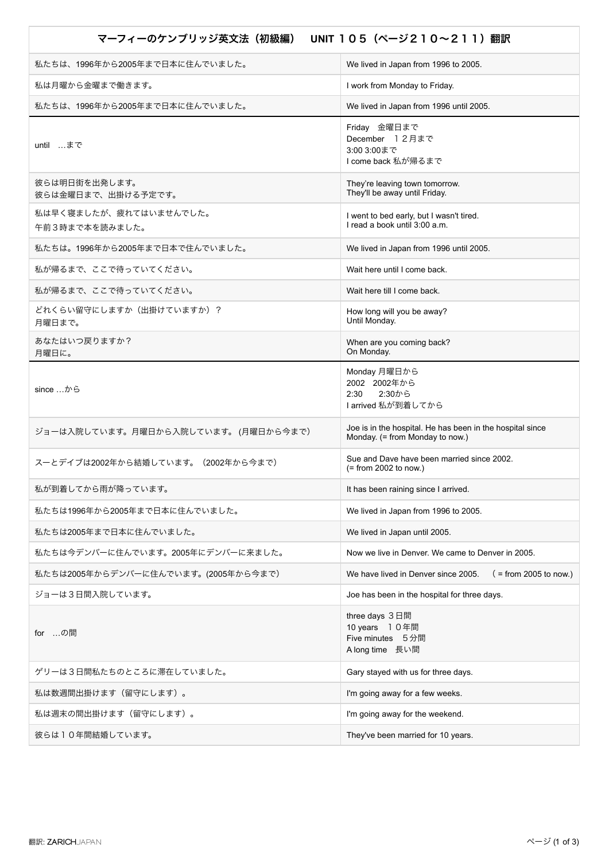## マーフィーのケンブリッジ英文法(初級編) **UNIT** 105(ページ210~211)翻訳

| We lived in Japan from 1996 to 2005.                                                         |
|----------------------------------------------------------------------------------------------|
| I work from Monday to Friday.                                                                |
| We lived in Japan from 1996 until 2005.                                                      |
| Friday 金曜日まで<br>December 12月まで<br>3:00 3:00まで<br>I come back 私が帰るまで                          |
| They're leaving town tomorrow.<br>They'll be away until Friday.                              |
| I went to bed early, but I wasn't tired.<br>I read a book until 3:00 a.m.                    |
| We lived in Japan from 1996 until 2005.                                                      |
| Wait here until I come back.                                                                 |
| Wait here till I come back.                                                                  |
| How long will you be away?<br>Until Monday.                                                  |
| When are you coming back?<br>On Monday.                                                      |
| Monday 月曜日から<br>2002 2002年から<br>2:30から<br>2:30<br>I arrived 私が到着してから                         |
| Joe is in the hospital. He has been in the hospital since<br>Monday. (= from Monday to now.) |
| Sue and Dave have been married since 2002.<br>$(=$ from 2002 to now.)                        |
| It has been raining since I arrived.                                                         |
| We lived in Japan from 1996 to 2005.                                                         |
| We lived in Japan until 2005.                                                                |
| Now we live in Denver. We came to Denver in 2005.                                            |
| We have lived in Denver since 2005.<br>$($ = from 2005 to now.)                              |
| Joe has been in the hospital for three days.                                                 |
| three days 3日間<br>10 years 10年間<br>Five minutes 5分間<br>A long time 長い間                       |
| Gary stayed with us for three days.                                                          |
| I'm going away for a few weeks.                                                              |
| I'm going away for the weekend.                                                              |
| They've been married for 10 years.                                                           |
|                                                                                              |